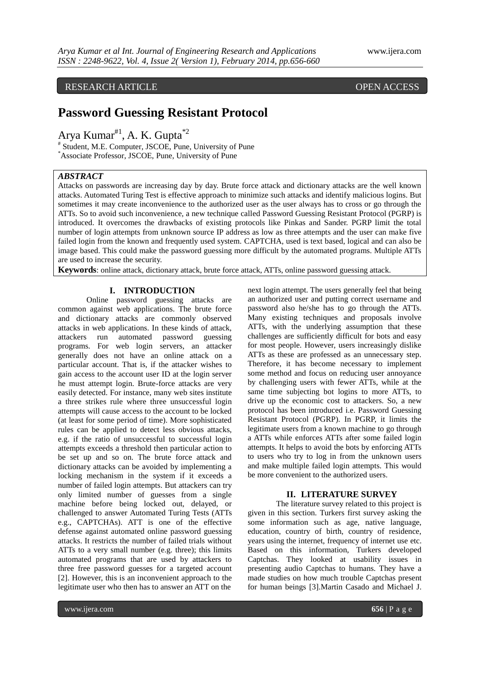# RESEARCH ARTICLE OPEN ACCESS

# **Password Guessing Resistant Protocol**

Arya Kumar#1, A. K. Gupta\*2

# Student, M.E. Computer, JSCOE, Pune, University of Pune \*Associate Professor, JSCOE, Pune, University of Pune

#### *ABSTRACT*

Attacks on passwords are increasing day by day. Brute force attack and dictionary attacks are the well known attacks. Automated Turing Test is effective approach to minimize such attacks and identify malicious logins. But sometimes it may create inconvenience to the authorized user as the user always has to cross or go through the ATTs. So to avoid such inconvenience, a new technique called Password Guessing Resistant Protocol (PGRP) is introduced. It overcomes the drawbacks of existing protocols like Pinkas and Sander. PGRP limit the total number of login attempts from unknown source IP address as low as three attempts and the user can make five failed login from the known and frequently used system. CAPTCHA, used is text based, logical and can also be image based. This could make the password guessing more difficult by the automated programs. Multiple ATTs are used to increase the security.

**Keywords**: online attack, dictionary attack, brute force attack, ATTs, online password guessing attack.

# **I. INTRODUCTION**

Online password guessing attacks are common against web applications. The brute force and dictionary attacks are commonly observed attacks in web applications. In these kinds of attack, attackers run automated password guessing programs. For web login servers, an attacker generally does not have an online attack on a particular account. That is, if the attacker wishes to gain access to the account user ID at the login server he must attempt login. Brute-force attacks are very easily detected. For instance, many web sites institute a three strikes rule where three unsuccessful login attempts will cause access to the account to be locked (at least for some period of time). More sophisticated rules can be applied to detect less obvious attacks, e.g. if the ratio of unsuccessful to successful login attempts exceeds a threshold then particular action to be set up and so on. The brute force attack and dictionary attacks can be avoided by implementing a locking mechanism in the system if it exceeds a number of failed login attempts. But attackers can try only limited number of guesses from a single machine before being locked out, delayed, or challenged to answer Automated Turing Tests (ATTs e.g., CAPTCHAs). ATT is one of the effective defense against automated online password guessing attacks. It restricts the number of failed trials without ATTs to a very small number (e.g. three); this limits automated programs that are used by attackers to three free password guesses for a targeted account [2]. However, this is an inconvenient approach to the legitimate user who then has to answer an ATT on the

next login attempt. The users generally feel that being an authorized user and putting correct username and password also he/she has to go through the ATTs. Many existing techniques and proposals involve ATTs, with the underlying assumption that these challenges are sufficiently difficult for bots and easy for most people. However, users increasingly dislike ATTs as these are professed as an unnecessary step. Therefore, it has become necessary to implement some method and focus on reducing user annoyance by challenging users with fewer ATTs, while at the same time subjecting bot logins to more ATTs, to drive up the economic cost to attackers. So, a new protocol has been introduced i.e. Password Guessing Resistant Protocol (PGRP). In PGRP, it limits the legitimate users from a known machine to go through a ATTs while enforces ATTs after some failed login attempts. It helps to avoid the bots by enforcing ATTs to users who try to log in from the unknown users and make multiple failed login attempts. This would be more convenient to the authorized users.

#### **II. LITERATURE SURVEY**

The literature survey related to this project is given in this section. Turkers first survey asking the some information such as age, native language, education, country of birth, country of residence, years using the internet, frequency of internet use etc. Based on this information, Turkers developed Captchas. They looked at usability issues in presenting audio Captchas to humans. They have a made studies on how much trouble Captchas present for human beings [3].Martin Casado and Michael J.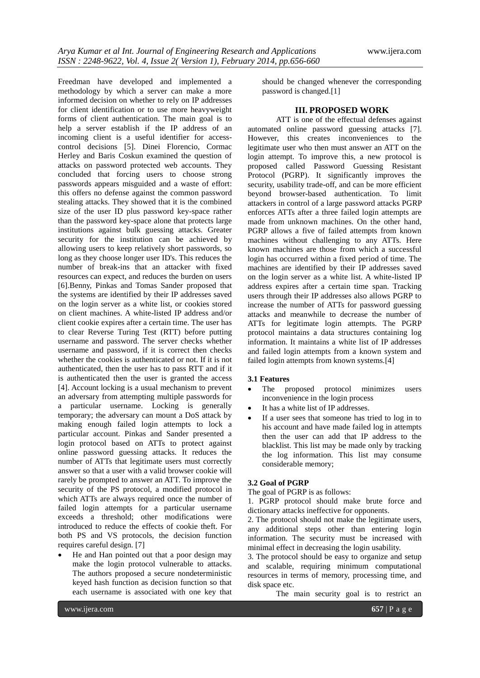Freedman have developed and implemented a methodology by which a server can make a more informed decision on whether to rely on IP addresses for client identification or to use more heavyweight forms of client authentication. The main goal is to help a server establish if the IP address of an incoming client is a useful identifier for accesscontrol decisions [5]. Dinei Florencio, Cormac Herley and Baris Coskun examined the question of attacks on password protected web accounts. They concluded that forcing users to choose strong passwords appears misguided and a waste of effort: this offers no defense against the common password stealing attacks. They showed that it is the combined size of the user ID plus password key-space rather than the password key-space alone that protects large institutions against bulk guessing attacks. Greater security for the institution can be achieved by allowing users to keep relatively short passwords, so long as they choose longer user ID's. This reduces the number of break-ins that an attacker with fixed resources can expect, and reduces the burden on users [6].Benny, Pinkas and Tomas Sander proposed that the systems are identified by their IP addresses saved on the login server as a white list, or cookies stored on client machines. A white-listed IP address and/or client cookie expires after a certain time. The user has to clear Reverse Turing Test (RTT) before putting username and password. The server checks whether username and password, if it is correct then checks whether the cookies is authenticated or not. If it is not authenticated, then the user has to pass RTT and if it is authenticated then the user is granted the access [4]. Account locking is a usual mechanism to prevent an adversary from attempting multiple passwords for a particular username. Locking is generally temporary; the adversary can mount a DoS attack by making enough failed login attempts to lock a particular account. Pinkas and Sander presented a login protocol based on ATTs to protect against online password guessing attacks. It reduces the number of ATTs that legitimate users must correctly answer so that a user with a valid browser cookie will rarely be prompted to answer an ATT. To improve the security of the PS protocol, a modified protocol in which ATTs are always required once the number of failed login attempts for a particular username exceeds a threshold; other modifications were introduced to reduce the effects of cookie theft. For both PS and VS protocols, the decision function requires careful design. [7]

 He and Han pointed out that a poor design may make the login protocol vulnerable to attacks. The authors proposed a secure nondeterministic keyed hash function as decision function so that each username is associated with one key that

should be changed whenever the corresponding password is changed.[1]

# **III. PROPOSED WORK**

ATT is one of the effectual defenses against automated online password guessing attacks [7]. However, this creates inconveniences to the legitimate user who then must answer an ATT on the login attempt. To improve this, a new protocol is proposed called Password Guessing Resistant Protocol (PGRP). It significantly improves the security, usability trade-off, and can be more efficient beyond browser-based authentication. To limit attackers in control of a large password attacks PGRP enforces ATTs after a three failed login attempts are made from unknown machines. On the other hand, PGRP allows a five of failed attempts from known machines without challenging to any ATTs. Here known machines are those from which a successful login has occurred within a fixed period of time. The machines are identified by their IP addresses saved on the login server as a white list. A white-listed IP address expires after a certain time span. Tracking users through their IP addresses also allows PGRP to increase the number of ATTs for password guessing attacks and meanwhile to decrease the number of ATTs for legitimate login attempts. The PGRP protocol maintains a data structures containing log information. It maintains a white list of IP addresses and failed login attempts from a known system and failed login attempts from known systems.[4]

#### **3.1 Features**

- The proposed protocol minimizes users inconvenience in the login process
- It has a white list of IP addresses.
- If a user sees that someone has tried to log in to his account and have made failed log in attempts then the user can add that IP address to the blacklist. This list may be made only by tracking the log information. This list may consume considerable memory;

#### **3.2 Goal of PGRP**

The goal of PGRP is as follows:

1. PGRP protocol should make brute force and dictionary attacks ineffective for opponents.

2. The protocol should not make the legitimate users, any additional steps other than entering login information. The security must be increased with minimal effect in decreasing the login usability.

3. The protocol should be easy to organize and setup and scalable, requiring minimum computational resources in terms of memory, processing time, and disk space etc.

The main security goal is to restrict an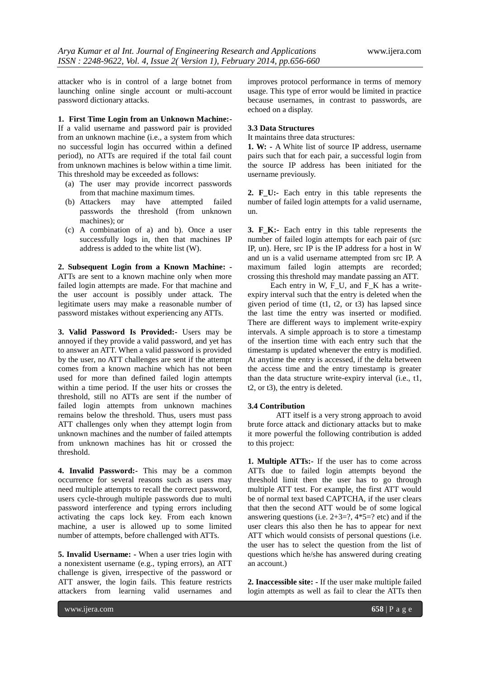attacker who is in control of a large botnet from launching online single account or multi-account password dictionary attacks.

**1. First Time Login from an Unknown Machine:-**

If a valid username and password pair is provided from an unknown machine (i.e., a system from which no successful login has occurred within a defined period), no ATTs are required if the total fail count from unknown machines is below within a time limit. This threshold may be exceeded as follows:

- (a) The user may provide incorrect passwords from that machine maximum times.
- (b) Attackers may have attempted failed passwords the threshold (from unknown machines); or
- (c) A combination of a) and b). Once a user successfully logs in, then that machines IP address is added to the white list (W).

**2. Subsequent Login from a Known Machine: -** ATTs are sent to a known machine only when more failed login attempts are made. For that machine and the user account is possibly under attack. The legitimate users may make a reasonable number of password mistakes without experiencing any ATTs.

**3. Valid Password Is Provided:-** Users may be annoyed if they provide a valid password, and yet has to answer an ATT. When a valid password is provided by the user, no ATT challenges are sent if the attempt comes from a known machine which has not been used for more than defined failed login attempts within a time period. If the user hits or crosses the threshold, still no ATTs are sent if the number of failed login attempts from unknown machines remains below the threshold. Thus, users must pass ATT challenges only when they attempt login from unknown machines and the number of failed attempts from unknown machines has hit or crossed the threshold.

**4. Invalid Password:-** This may be a common occurrence for several reasons such as users may need multiple attempts to recall the correct password, users cycle-through multiple passwords due to multi password interference and typing errors including activating the caps lock key. From each known machine, a user is allowed up to some limited number of attempts, before challenged with ATTs.

**5. Invalid Username: -** When a user tries login with a nonexistent username (e.g., typing errors), an ATT challenge is given, irrespective of the password or ATT answer, the login fails. This feature restricts attackers from learning valid usernames and

improves protocol performance in terms of memory usage. This type of error would be limited in practice because usernames, in contrast to passwords, are echoed on a display.

#### **3.3 Data Structures**

It maintains three data structures:

**1. W: -** A White list of source IP address, username pairs such that for each pair, a successful login from the source IP address has been initiated for the username previously.

**2. F\_U:-** Each entry in this table represents the number of failed login attempts for a valid username, un.

**3. F\_K:-** Each entry in this table represents the number of failed login attempts for each pair of (src IP, un). Here, src IP is the IP address for a host in W and un is a valid username attempted from src IP. A maximum failed login attempts are recorded; crossing this threshold may mandate passing an ATT.

Each entry in W, F\_U, and F\_K has a writeexpiry interval such that the entry is deleted when the given period of time  $(t1, t2, \text{ or } t3)$  has lapsed since the last time the entry was inserted or modified. There are different ways to implement write-expiry intervals. A simple approach is to store a timestamp of the insertion time with each entry such that the timestamp is updated whenever the entry is modified. At anytime the entry is accessed, if the delta between the access time and the entry timestamp is greater than the data structure write-expiry interval (i.e., t1, t2, or t3), the entry is deleted.

#### **3.4 Contribution**

ATT itself is a very strong approach to avoid brute force attack and dictionary attacks but to make it more powerful the following contribution is added to this project:

**1. Multiple ATTs:-** If the user has to come across ATTs due to failed login attempts beyond the threshold limit then the user has to go through multiple ATT test. For example, the first ATT would be of normal text based CAPTCHA, if the user clears that then the second ATT would be of some logical answering questions (i.e.  $2+3=$ ?,  $4*5=$ ? etc) and if the user clears this also then he has to appear for next ATT which would consists of personal questions (i.e. the user has to select the question from the list of questions which he/she has answered during creating an account.)

**2. Inaccessible site: -** If the user make multiple failed login attempts as well as fail to clear the ATTs then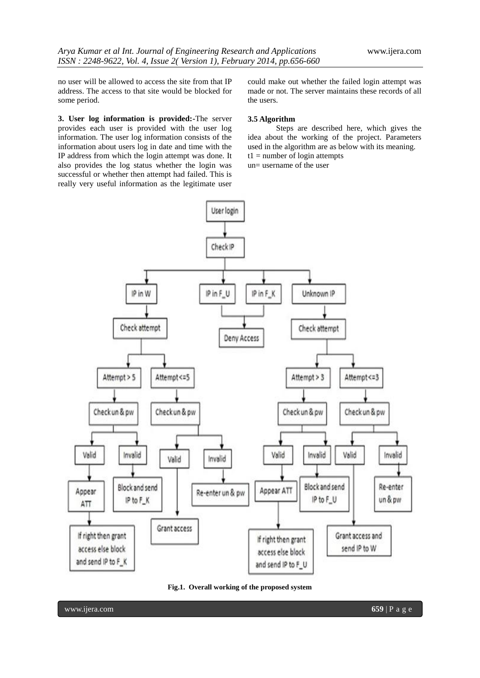no user will be allowed to access the site from that IP address. The access to that site would be blocked for some period.

**3. User log information is provided:-**The server provides each user is provided with the user log information. The user log information consists of the information about users log in date and time with the IP address from which the login attempt was done. It also provides the log status whether the login was successful or whether then attempt had failed. This is really very useful information as the legitimate user

could make out whether the failed login attempt was made or not. The server maintains these records of all the users.

#### **3.5 Algorithm**

Steps are described here, which gives the idea about the working of the project. Parameters used in the algorithm are as below with its meaning.  $t1 =$  number of login attempts

un= username of the user



**Fig.1. Overall working of the proposed system**